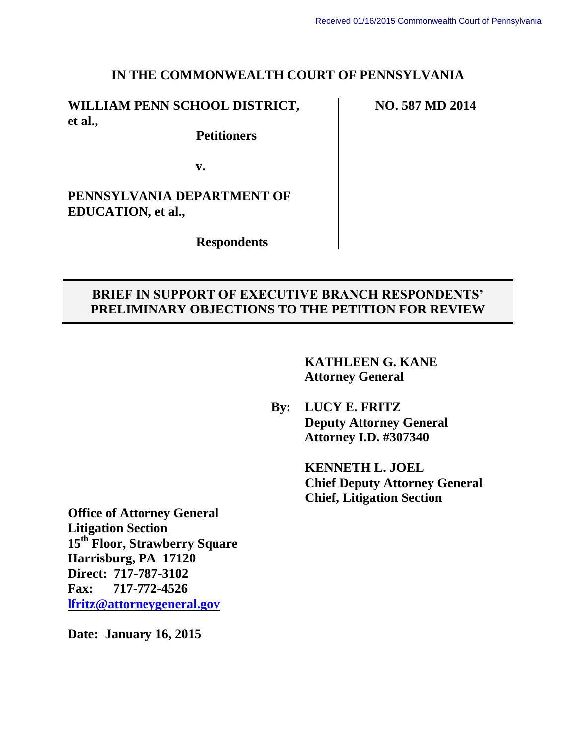### **IN THE COMMONWEALTH COURT OF PENNSYLVANIA**

## **WILLIAM PENN SCHOOL DISTRICT, et al.,**

 **Petitioners**

**v.**

**PENNSYLVANIA DEPARTMENT OF EDUCATION, et al.,**

 **Respondents**

## **BRIEF IN SUPPORT OF EXECUTIVE BRANCH RESPONDENTS' PRELIMINARY OBJECTIONS TO THE PETITION FOR REVIEW**

**KATHLEEN G. KANE Attorney General**

**By: LUCY E. FRITZ Deputy Attorney General Attorney I.D. #307340**

> **KENNETH L. JOEL Chief Deputy Attorney General Chief, Litigation Section**

**Office of Attorney General Litigation Section 15th Floor, Strawberry Square Harrisburg, PA 17120 Direct: 717-787-3102 Fax: 717-772-4526 lfritz@attorneygeneral.gov**

**Date: January 16, 2015**

**NO. 587 MD 2014**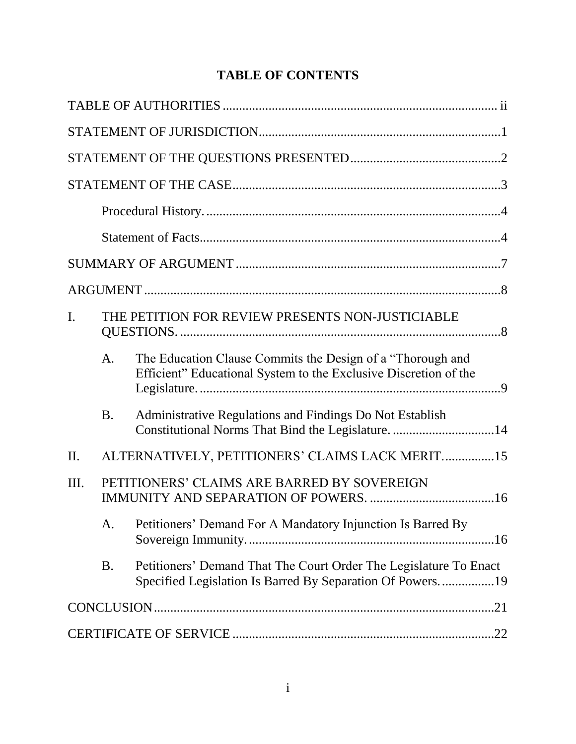# **TABLE OF CONTENTS**

| $\mathbf{I}$ .<br>THE PETITION FOR REVIEW PRESENTS NON-JUSTICIABLE |           |                                                                                                                                |  |
|--------------------------------------------------------------------|-----------|--------------------------------------------------------------------------------------------------------------------------------|--|
|                                                                    | A.        | The Education Clause Commits the Design of a "Thorough and<br>Efficient" Educational System to the Exclusive Discretion of the |  |
|                                                                    | <b>B.</b> | Administrative Regulations and Findings Do Not Establish<br>Constitutional Norms That Bind the Legislature14                   |  |
| II.                                                                |           | ALTERNATIVELY, PETITIONERS' CLAIMS LACK MERIT15                                                                                |  |
| III.                                                               |           | PETITIONERS' CLAIMS ARE BARRED BY SOVEREIGN                                                                                    |  |
|                                                                    | A.        | Petitioners' Demand For A Mandatory Injunction Is Barred By                                                                    |  |
|                                                                    | <b>B.</b> | Petitioners' Demand That The Court Order The Legislature To Enact<br>Specified Legislation Is Barred By Separation Of Powers19 |  |
|                                                                    |           |                                                                                                                                |  |
|                                                                    |           |                                                                                                                                |  |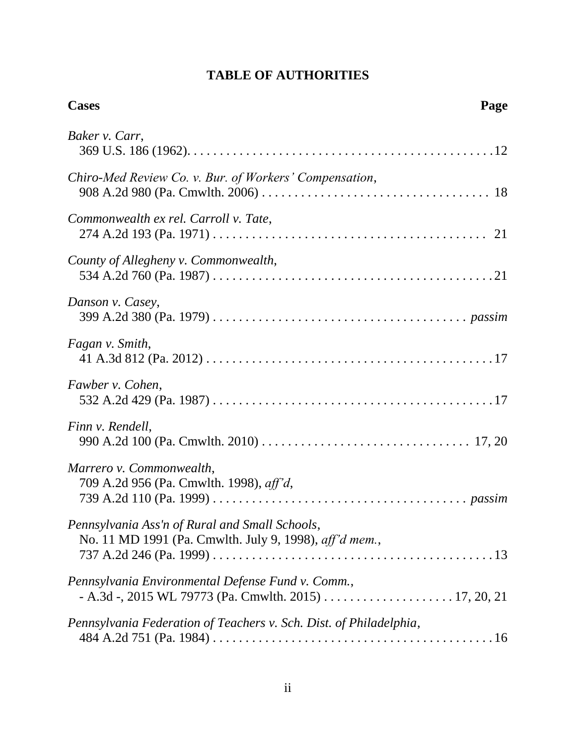## **TABLE OF AUTHORITIES**

| <b>Cases</b><br>Page                                                                                                                                  |
|-------------------------------------------------------------------------------------------------------------------------------------------------------|
| Baker v. Carr,                                                                                                                                        |
| Chiro-Med Review Co. v. Bur. of Workers' Compensation,                                                                                                |
| Commonwealth ex rel. Carroll v. Tate,                                                                                                                 |
| County of Allegheny v. Commonwealth,                                                                                                                  |
| Danson v. Casey,                                                                                                                                      |
| Fagan v. Smith,                                                                                                                                       |
| Fawber v. Cohen,                                                                                                                                      |
| Finn v. Rendell,                                                                                                                                      |
| Marrero v. Commonwealth,<br>709 A.2d 956 (Pa. Cmwlth. 1998), aff'd,                                                                                   |
| Pennsylvania Ass'n of Rural and Small Schools,<br>No. 11 MD 1991 (Pa. Cmwlth. July 9, 1998), aff'd mem.,                                              |
| Pennsylvania Environmental Defense Fund v. Comm.,<br>$- A.3d - 2015 WL 79773 (Pa. Cmwlth. 2015) \ldots \ldots \ldots \ldots \ldots \ldots 17, 20, 21$ |
| Pennsylvania Federation of Teachers v. Sch. Dist. of Philadelphia,                                                                                    |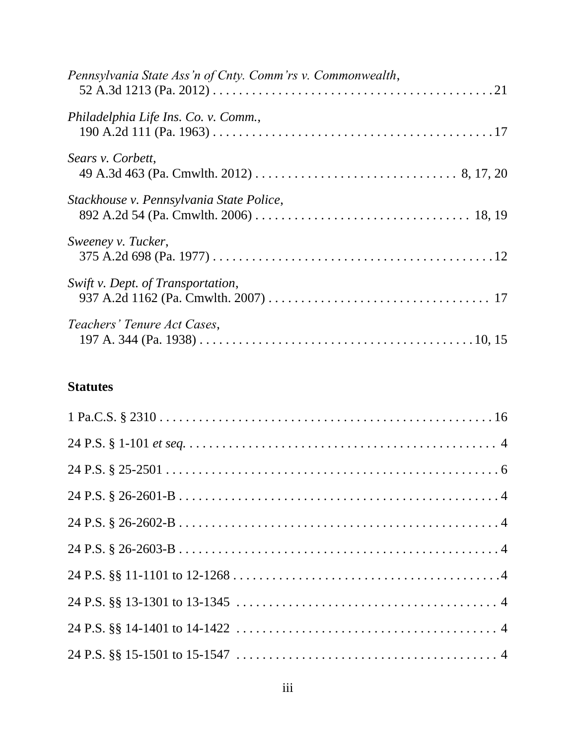| Pennsylvania State Ass'n of Cnty. Comm'rs v. Commonwealth, |  |
|------------------------------------------------------------|--|
| Philadelphia Life Ins. Co. v. Comm.,                       |  |
| Sears v. Corbett,                                          |  |
| Stackhouse v. Pennsylvania State Police,                   |  |
| Sweeney v. Tucker,                                         |  |
| Swift v. Dept. of Transportation,                          |  |
| Teachers' Tenure Act Cases,                                |  |

## **Statutes**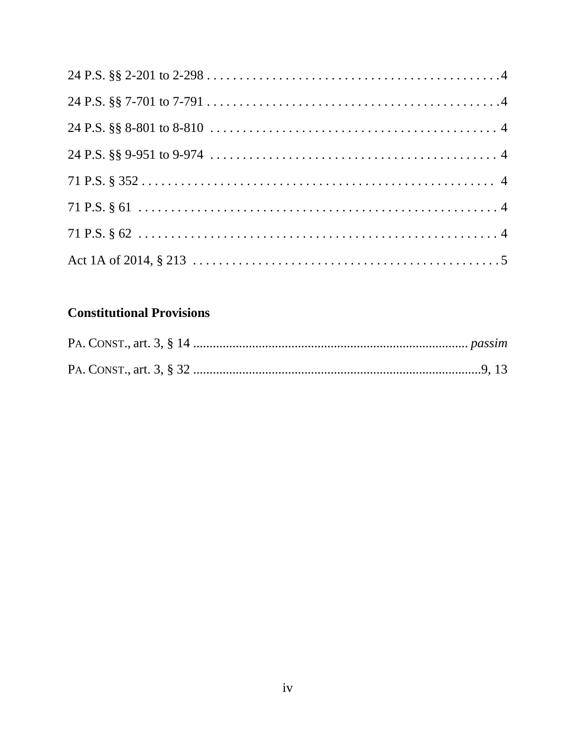# **Constitutional Provisions**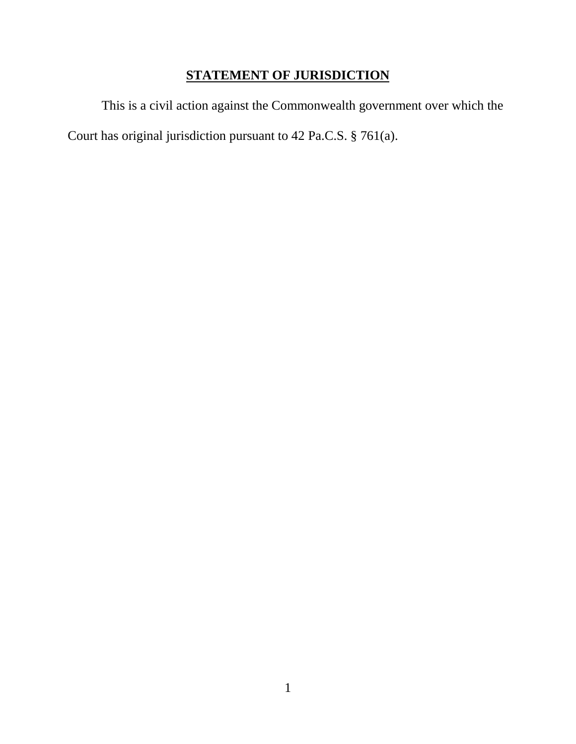# **STATEMENT OF JURISDICTION**

This is a civil action against the Commonwealth government over which the Court has original jurisdiction pursuant to 42 Pa.C.S. § 761(a).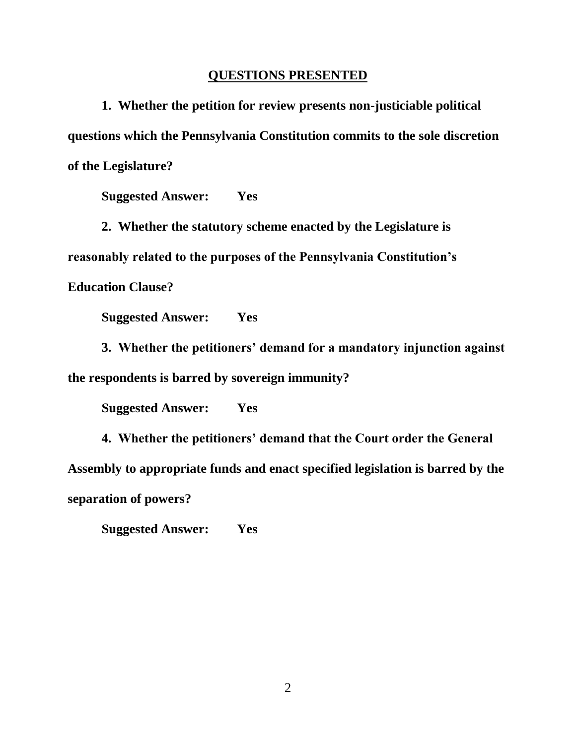#### **QUESTIONS PRESENTED**

**1. Whether the petition for review presents non-justiciable political questions which the Pennsylvania Constitution commits to the sole discretion of the Legislature?**

**Suggested Answer: Yes**

**2. Whether the statutory scheme enacted by the Legislature is reasonably related to the purposes of the Pennsylvania Constitution's Education Clause?**

**Suggested Answer: Yes** 

**3. Whether the petitioners' demand for a mandatory injunction against the respondents is barred by sovereign immunity?**

**Suggested Answer: Yes** 

**4. Whether the petitioners' demand that the Court order the General Assembly to appropriate funds and enact specified legislation is barred by the separation of powers?**

**Suggested Answer: Yes** 

2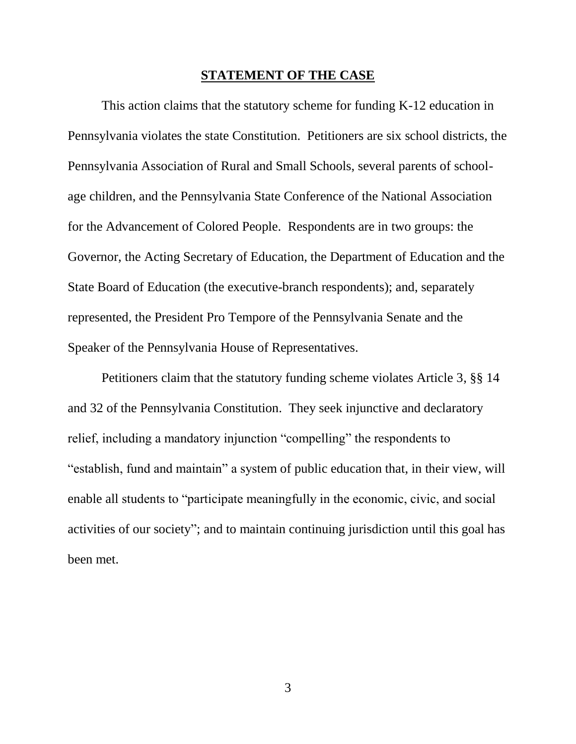#### **STATEMENT OF THE CASE**

This action claims that the statutory scheme for funding K-12 education in Pennsylvania violates the state Constitution. Petitioners are six school districts, the Pennsylvania Association of Rural and Small Schools, several parents of schoolage children, and the Pennsylvania State Conference of the National Association for the Advancement of Colored People. Respondents are in two groups: the Governor, the Acting Secretary of Education, the Department of Education and the State Board of Education (the executive-branch respondents); and, separately represented, the President Pro Tempore of the Pennsylvania Senate and the Speaker of the Pennsylvania House of Representatives.

Petitioners claim that the statutory funding scheme violates Article 3, §§ 14 and 32 of the Pennsylvania Constitution. They seek injunctive and declaratory relief, including a mandatory injunction "compelling" the respondents to "establish, fund and maintain" a system of public education that, in their view, will enable all students to "participate meaningfully in the economic, civic, and social activities of our society"; and to maintain continuing jurisdiction until this goal has been met.

3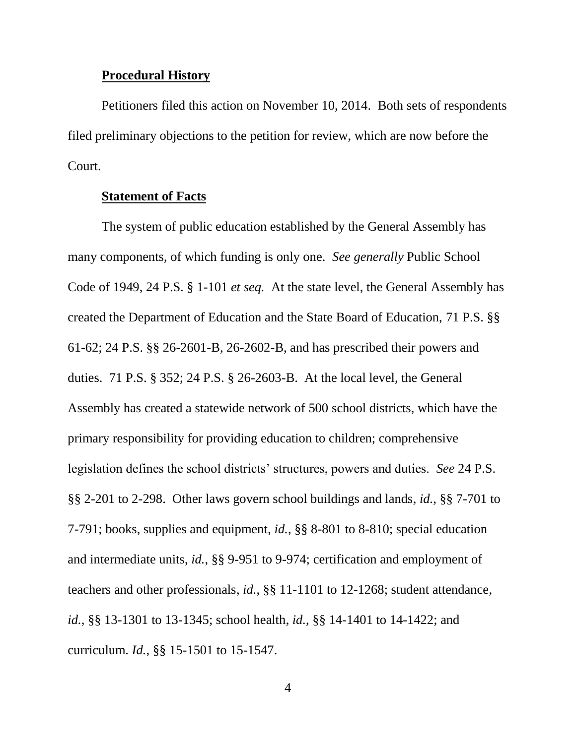#### **Procedural History**

Petitioners filed this action on November 10, 2014. Both sets of respondents filed preliminary objections to the petition for review, which are now before the Court.

#### **Statement of Facts**

The system of public education established by the General Assembly has many components, of which funding is only one. *See generally* Public School Code of 1949, 24 P.S. § 1-101 *et seq.* At the state level, the General Assembly has created the Department of Education and the State Board of Education, 71 P.S. §§ 61-62; 24 P.S. §§ 26-2601-B, 26-2602-B, and has prescribed their powers and duties. 71 P.S. § 352; 24 P.S. § 26-2603-B. At the local level, the General Assembly has created a statewide network of 500 school districts, which have the primary responsibility for providing education to children; comprehensive legislation defines the school districts' structures, powers and duties. *See* 24 P.S. §§ 2-201 to 2-298. Other laws govern school buildings and lands, *id.*, §§ 7-701 to 7-791; books, supplies and equipment, *id.*, §§ 8-801 to 8-810; special education and intermediate units, *id.*, §§ 9-951 to 9-974; certification and employment of teachers and other professionals, *id.*, §§ 11-1101 to 12-1268; student attendance, *id.*, §§ 13-1301 to 13-1345; school health, *id.*, §§ 14-1401 to 14-1422; and curriculum. *Id.*, §§ 15-1501 to 15-1547.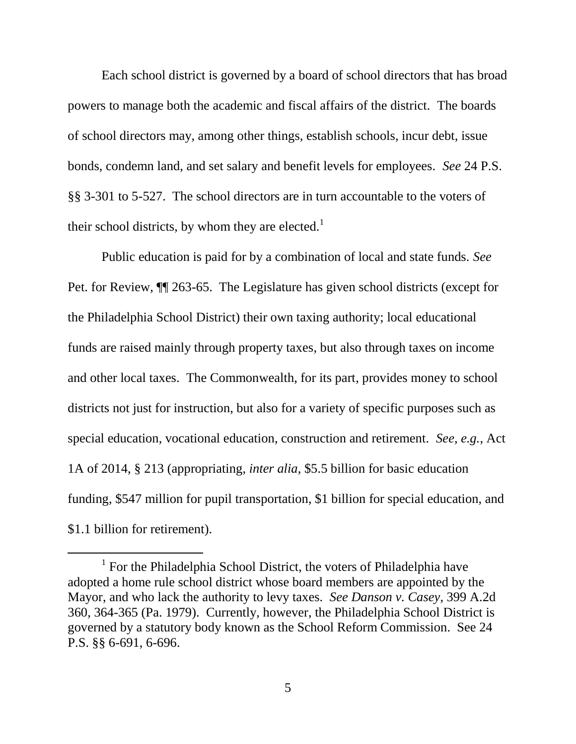Each school district is governed by a board of school directors that has broad powers to manage both the academic and fiscal affairs of the district. The boards of school directors may, among other things, establish schools, incur debt, issue bonds, condemn land, and set salary and benefit levels for employees. *See* 24 P.S. §§ 3-301 to 5-527. The school directors are in turn accountable to the voters of their school districts, by whom they are elected.<sup>1</sup>

Public education is paid for by a combination of local and state funds. *See* Pet. for Review, ¶¶ 263-65. The Legislature has given school districts (except for the Philadelphia School District) their own taxing authority; local educational funds are raised mainly through property taxes, but also through taxes on income and other local taxes. The Commonwealth, for its part, provides money to school districts not just for instruction, but also for a variety of specific purposes such as special education, vocational education, construction and retirement. *See, e.g.*, Act 1A of 2014, § 213 (appropriating, *inter alia*, \$5.5 billion for basic education funding, \$547 million for pupil transportation, \$1 billion for special education, and \$1.1 billion for retirement).

l

<sup>&</sup>lt;sup>1</sup> For the Philadelphia School District, the voters of Philadelphia have adopted a home rule school district whose board members are appointed by the Mayor, and who lack the authority to levy taxes. *See Danson v. Casey*, 399 A.2d 360, 364-365 (Pa. 1979). Currently, however, the Philadelphia School District is governed by a statutory body known as the School Reform Commission. See 24 P.S. §§ 6-691, 6-696.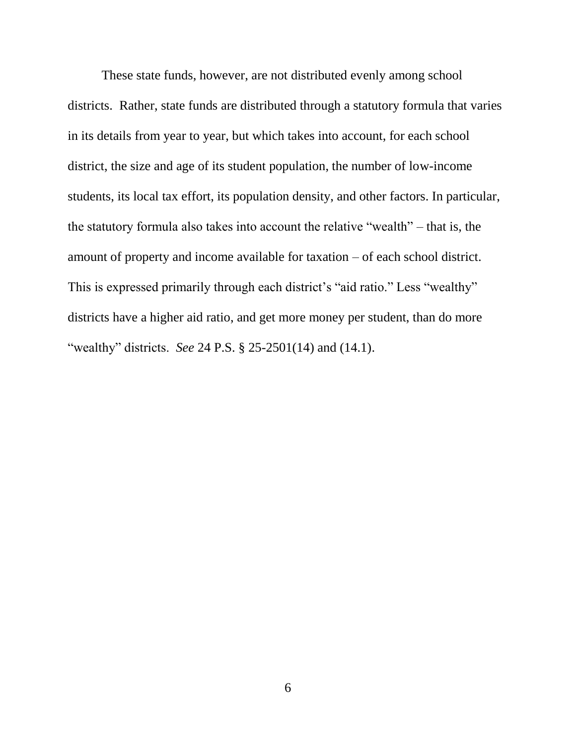These state funds, however, are not distributed evenly among school districts. Rather, state funds are distributed through a statutory formula that varies in its details from year to year, but which takes into account, for each school district, the size and age of its student population, the number of low-income students, its local tax effort, its population density, and other factors. In particular, the statutory formula also takes into account the relative "wealth" – that is, the amount of property and income available for taxation – of each school district. This is expressed primarily through each district's "aid ratio." Less "wealthy" districts have a higher aid ratio, and get more money per student, than do more "wealthy" districts. *See* 24 P.S. § 25-2501(14) and (14.1).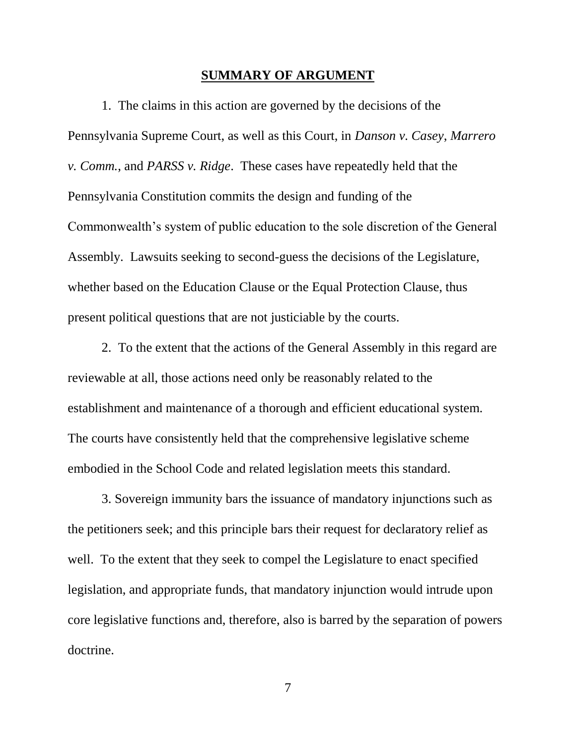#### **SUMMARY OF ARGUMENT**

1. The claims in this action are governed by the decisions of the Pennsylvania Supreme Court, as well as this Court, in *Danson v. Casey*, *Marrero v. Comm.*, and *PARSS v. Ridge*. These cases have repeatedly held that the Pennsylvania Constitution commits the design and funding of the Commonwealth's system of public education to the sole discretion of the General Assembly. Lawsuits seeking to second-guess the decisions of the Legislature, whether based on the Education Clause or the Equal Protection Clause, thus present political questions that are not justiciable by the courts.

2. To the extent that the actions of the General Assembly in this regard are reviewable at all, those actions need only be reasonably related to the establishment and maintenance of a thorough and efficient educational system. The courts have consistently held that the comprehensive legislative scheme embodied in the School Code and related legislation meets this standard.

3. Sovereign immunity bars the issuance of mandatory injunctions such as the petitioners seek; and this principle bars their request for declaratory relief as well. To the extent that they seek to compel the Legislature to enact specified legislation, and appropriate funds, that mandatory injunction would intrude upon core legislative functions and, therefore, also is barred by the separation of powers doctrine.

7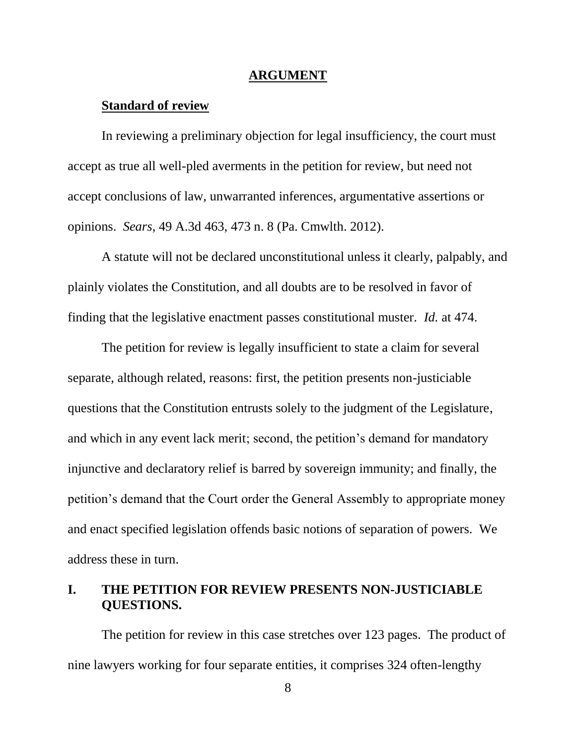#### **ARGUMENT**

### **Standard of review**

In reviewing a preliminary objection for legal insufficiency, the court must accept as true all well-pled averments in the petition for review, but need not accept conclusions of law, unwarranted inferences, argumentative assertions or opinions. *Sears*, 49 A.3d 463, 473 n. 8 (Pa. Cmwlth. 2012).

A statute will not be declared unconstitutional unless it clearly, palpably, and plainly violates the Constitution, and all doubts are to be resolved in favor of finding that the legislative enactment passes constitutional muster. *Id.* at 474.

The petition for review is legally insufficient to state a claim for several separate, although related, reasons: first, the petition presents non-justiciable questions that the Constitution entrusts solely to the judgment of the Legislature, and which in any event lack merit; second, the petition's demand for mandatory injunctive and declaratory relief is barred by sovereign immunity; and finally, the petition's demand that the Court order the General Assembly to appropriate money and enact specified legislation offends basic notions of separation of powers. We address these in turn.

## **I. THE PETITION FOR REVIEW PRESENTS NON-JUSTICIABLE QUESTIONS.**

The petition for review in this case stretches over 123 pages. The product of nine lawyers working for four separate entities, it comprises 324 often-lengthy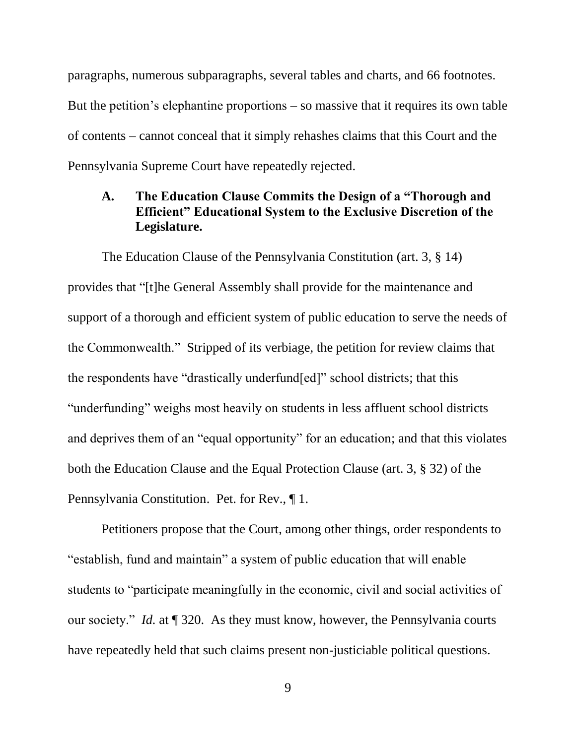paragraphs, numerous subparagraphs, several tables and charts, and 66 footnotes. But the petition's elephantine proportions – so massive that it requires its own table of contents – cannot conceal that it simply rehashes claims that this Court and the Pennsylvania Supreme Court have repeatedly rejected.

## **A. The Education Clause Commits the Design of a "Thorough and Efficient" Educational System to the Exclusive Discretion of the Legislature.**

The Education Clause of the Pennsylvania Constitution (art. 3, § 14) provides that "[t]he General Assembly shall provide for the maintenance and support of a thorough and efficient system of public education to serve the needs of the Commonwealth." Stripped of its verbiage, the petition for review claims that the respondents have "drastically underfund[ed]" school districts; that this "underfunding" weighs most heavily on students in less affluent school districts and deprives them of an "equal opportunity" for an education; and that this violates both the Education Clause and the Equal Protection Clause (art. 3, § 32) of the Pennsylvania Constitution. Pet. for Rev., ¶ 1.

Petitioners propose that the Court, among other things, order respondents to "establish, fund and maintain" a system of public education that will enable students to "participate meaningfully in the economic, civil and social activities of our society." *Id.* at ¶ 320. As they must know, however, the Pennsylvania courts have repeatedly held that such claims present non-justiciable political questions.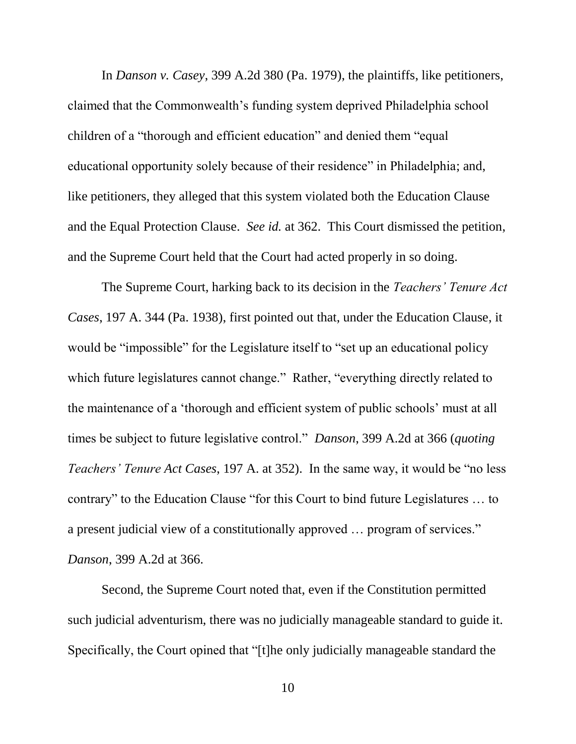In *Danson v. Casey*, 399 A.2d 380 (Pa. 1979), the plaintiffs, like petitioners, claimed that the Commonwealth's funding system deprived Philadelphia school children of a "thorough and efficient education" and denied them "equal educational opportunity solely because of their residence" in Philadelphia; and, like petitioners, they alleged that this system violated both the Education Clause and the Equal Protection Clause. *See id.* at 362. This Court dismissed the petition, and the Supreme Court held that the Court had acted properly in so doing.

The Supreme Court, harking back to its decision in the *Teachers' Tenure Act Cases*, 197 A. 344 (Pa. 1938), first pointed out that, under the Education Clause, it would be "impossible" for the Legislature itself to "set up an educational policy which future legislatures cannot change." Rather, "everything directly related to the maintenance of a 'thorough and efficient system of public schools' must at all times be subject to future legislative control." *Danson*, 399 A.2d at 366 (*quoting Teachers' Tenure Act Cases*, 197 A. at 352). In the same way, it would be "no less contrary" to the Education Clause "for this Court to bind future Legislatures … to a present judicial view of a constitutionally approved … program of services." *Danson*, 399 A.2d at 366.

Second, the Supreme Court noted that, even if the Constitution permitted such judicial adventurism, there was no judicially manageable standard to guide it. Specifically, the Court opined that "[t]he only judicially manageable standard the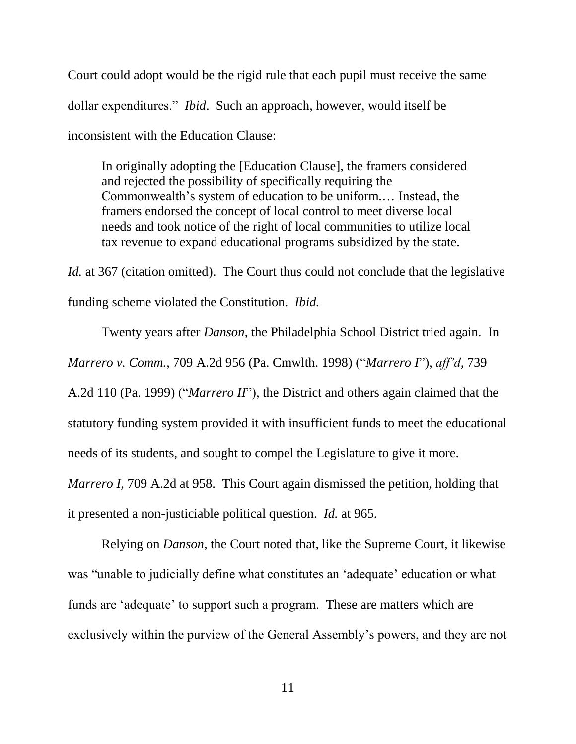Court could adopt would be the rigid rule that each pupil must receive the same dollar expenditures." *Ibid*. Such an approach, however, would itself be inconsistent with the Education Clause:

In originally adopting the [Education Clause], the framers considered and rejected the possibility of specifically requiring the Commonwealth's system of education to be uniform.… Instead, the framers endorsed the concept of local control to meet diverse local needs and took notice of the right of local communities to utilize local tax revenue to expand educational programs subsidized by the state.

*Id.* at 367 (citation omitted). The Court thus could not conclude that the legislative funding scheme violated the Constitution. *Ibid.*

Twenty years after *Danson*, the Philadelphia School District tried again. In *Marrero v. Comm.*, 709 A.2d 956 (Pa. Cmwlth. 1998) ("*Marrero I*"), *aff'd*, 739 A.2d 110 (Pa. 1999) ("*Marrero II*"), the District and others again claimed that the statutory funding system provided it with insufficient funds to meet the educational needs of its students, and sought to compel the Legislature to give it more. *Marrero I*, 709 A.2d at 958. This Court again dismissed the petition, holding that

it presented a non-justiciable political question. *Id.* at 965.

Relying on *Danson*, the Court noted that, like the Supreme Court, it likewise was "unable to judicially define what constitutes an 'adequate' education or what funds are 'adequate' to support such a program. These are matters which are exclusively within the purview of the General Assembly's powers, and they are not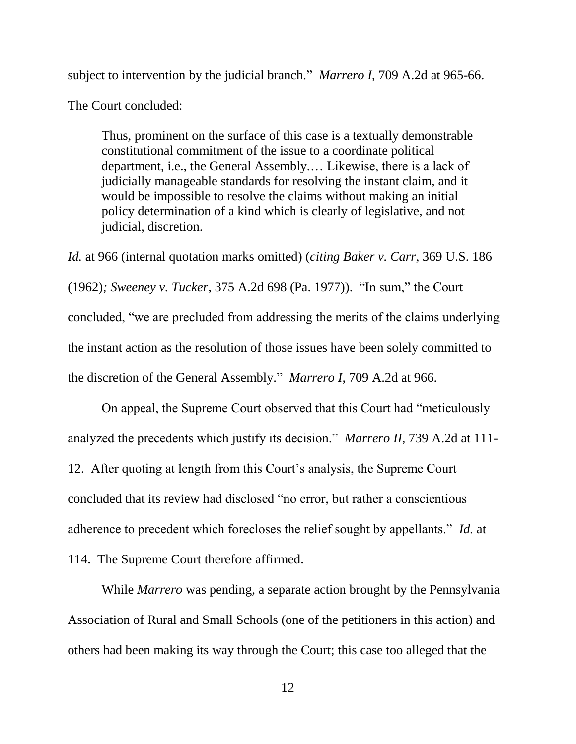subject to intervention by the judicial branch." *Marrero I*, 709 A.2d at 965-66.

The Court concluded:

Thus, prominent on the surface of this case is a textually demonstrable constitutional commitment of the issue to a coordinate political department, i.e., the General Assembly.… Likewise, there is a lack of judicially manageable standards for resolving the instant claim, and it would be impossible to resolve the claims without making an initial policy determination of a kind which is clearly of legislative, and not judicial, discretion.

*Id.* at 966 (internal quotation marks omitted) (*citing Baker v. Carr*, 369 U.S. 186 (1962)*; Sweeney v. Tucker*, 375 A.2d 698 (Pa. 1977)). "In sum," the Court concluded, "we are precluded from addressing the merits of the claims underlying the instant action as the resolution of those issues have been solely committed to the discretion of the General Assembly." *Marrero I*, 709 A.2d at 966.

On appeal, the Supreme Court observed that this Court had "meticulously analyzed the precedents which justify its decision." *Marrero II*, 739 A.2d at 111- 12. After quoting at length from this Court's analysis, the Supreme Court concluded that its review had disclosed "no error, but rather a conscientious adherence to precedent which forecloses the relief sought by appellants." *Id.* at 114. The Supreme Court therefore affirmed.

While *Marrero* was pending, a separate action brought by the Pennsylvania Association of Rural and Small Schools (one of the petitioners in this action) and others had been making its way through the Court; this case too alleged that the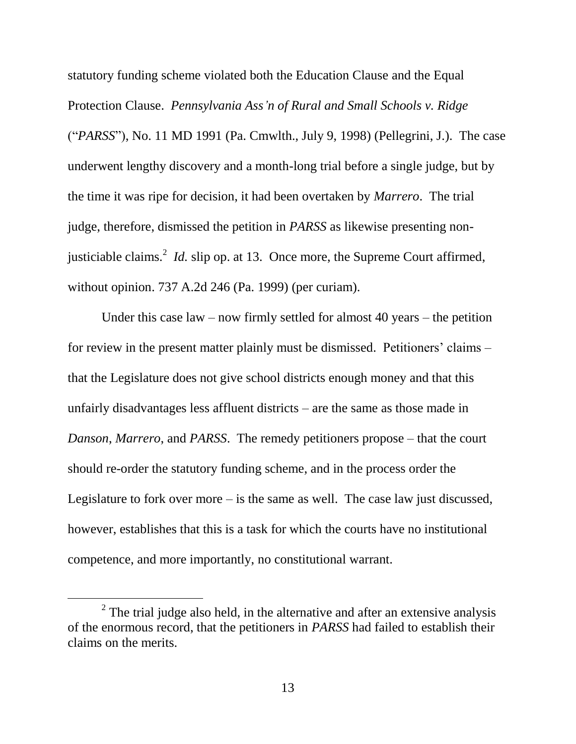statutory funding scheme violated both the Education Clause and the Equal Protection Clause. *Pennsylvania Ass'n of Rural and Small Schools v. Ridge* ("*PARSS*"), No. 11 MD 1991 (Pa. Cmwlth., July 9, 1998) (Pellegrini, J.). The case underwent lengthy discovery and a month-long trial before a single judge, but by the time it was ripe for decision, it had been overtaken by *Marrero*. The trial judge, therefore, dismissed the petition in *PARSS* as likewise presenting nonjusticiable claims.<sup>2</sup> *Id.* slip op. at 13. Once more, the Supreme Court affirmed, without opinion. 737 A.2d 246 (Pa. 1999) (per curiam).

Under this case law – now firmly settled for almost 40 years – the petition for review in the present matter plainly must be dismissed. Petitioners' claims – that the Legislature does not give school districts enough money and that this unfairly disadvantages less affluent districts – are the same as those made in *Danson*, *Marrero*, and *PARSS*. The remedy petitioners propose – that the court should re-order the statutory funding scheme, and in the process order the Legislature to fork over more – is the same as well. The case law just discussed, however, establishes that this is a task for which the courts have no institutional competence, and more importantly, no constitutional warrant.

 $\overline{a}$ 

<sup>&</sup>lt;sup>2</sup> The trial judge also held, in the alternative and after an extensive analysis of the enormous record, that the petitioners in *PARSS* had failed to establish their claims on the merits.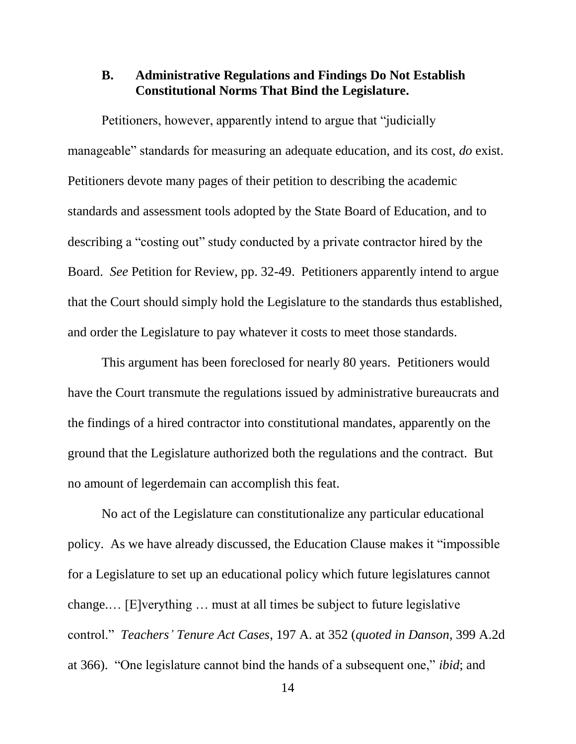## **B. Administrative Regulations and Findings Do Not Establish Constitutional Norms That Bind the Legislature.**

Petitioners, however, apparently intend to argue that "judicially manageable" standards for measuring an adequate education, and its cost, *do* exist. Petitioners devote many pages of their petition to describing the academic standards and assessment tools adopted by the State Board of Education, and to describing a "costing out" study conducted by a private contractor hired by the Board. *See* Petition for Review, pp. 32-49. Petitioners apparently intend to argue that the Court should simply hold the Legislature to the standards thus established, and order the Legislature to pay whatever it costs to meet those standards.

This argument has been foreclosed for nearly 80 years. Petitioners would have the Court transmute the regulations issued by administrative bureaucrats and the findings of a hired contractor into constitutional mandates, apparently on the ground that the Legislature authorized both the regulations and the contract. But no amount of legerdemain can accomplish this feat.

No act of the Legislature can constitutionalize any particular educational policy. As we have already discussed, the Education Clause makes it "impossible for a Legislature to set up an educational policy which future legislatures cannot change.… [E]verything … must at all times be subject to future legislative control." *Teachers' Tenure Act Cases*, 197 A. at 352 (*quoted in Danson*, 399 A.2d at 366). "One legislature cannot bind the hands of a subsequent one," *ibid*; and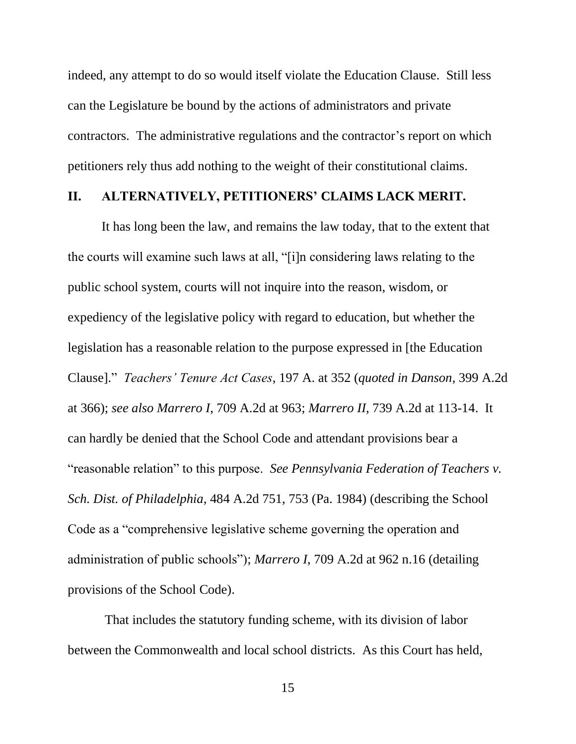indeed, any attempt to do so would itself violate the Education Clause. Still less can the Legislature be bound by the actions of administrators and private contractors. The administrative regulations and the contractor's report on which petitioners rely thus add nothing to the weight of their constitutional claims.

#### **II. ALTERNATIVELY, PETITIONERS' CLAIMS LACK MERIT.**

It has long been the law, and remains the law today, that to the extent that the courts will examine such laws at all, "[i]n considering laws relating to the public school system, courts will not inquire into the reason, wisdom, or expediency of the legislative policy with regard to education, but whether the legislation has a reasonable relation to the purpose expressed in [the Education Clause]." *Teachers' Tenure Act Cases*, 197 A. at 352 (*quoted in Danson*, 399 A.2d at 366); *see also Marrero I*, 709 A.2d at 963; *Marrero II*, 739 A.2d at 113-14. It can hardly be denied that the School Code and attendant provisions bear a "reasonable relation" to this purpose. *See Pennsylvania Federation of Teachers v. Sch. Dist. of Philadelphia*, 484 A.2d 751, 753 (Pa. 1984) (describing the School Code as a "comprehensive legislative scheme governing the operation and administration of public schools"); *Marrero I*, 709 A.2d at 962 n.16 (detailing provisions of the School Code).

That includes the statutory funding scheme, with its division of labor between the Commonwealth and local school districts. As this Court has held,

15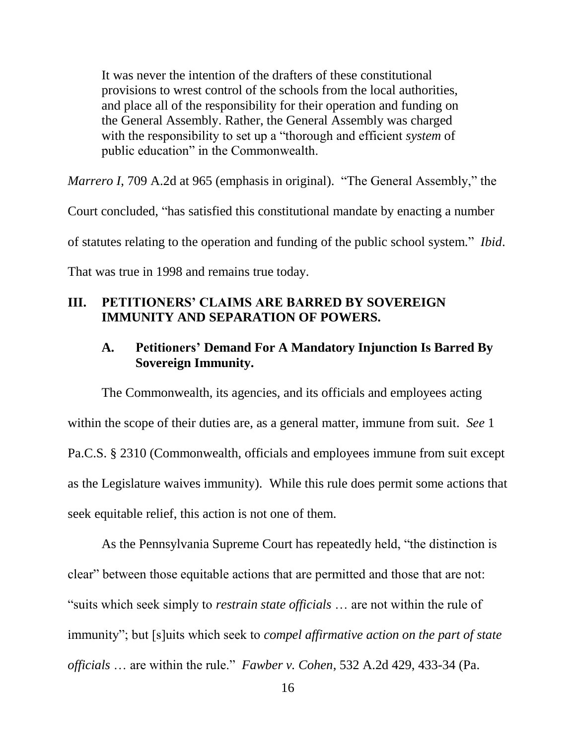It was never the intention of the drafters of these constitutional provisions to wrest control of the schools from the local authorities, and place all of the responsibility for their operation and funding on the General Assembly. Rather, the General Assembly was charged with the responsibility to set up a "thorough and efficient *system* of public education" in the Commonwealth.

*Marrero I*, 709 A.2d at 965 (emphasis in original). "The General Assembly," the

Court concluded, "has satisfied this constitutional mandate by enacting a number

of statutes relating to the operation and funding of the public school system." *Ibid*.

That was true in 1998 and remains true today.

## **III. PETITIONERS' CLAIMS ARE BARRED BY SOVEREIGN IMMUNITY AND SEPARATION OF POWERS.**

## **A. Petitioners' Demand For A Mandatory Injunction Is Barred By Sovereign Immunity.**

The Commonwealth, its agencies, and its officials and employees acting within the scope of their duties are, as a general matter, immune from suit. *See* 1 Pa.C.S. § 2310 (Commonwealth, officials and employees immune from suit except as the Legislature waives immunity). While this rule does permit some actions that seek equitable relief, this action is not one of them.

As the Pennsylvania Supreme Court has repeatedly held, "the distinction is clear" between those equitable actions that are permitted and those that are not: "suits which seek simply to *restrain state officials* … are not within the rule of immunity"; but [s]uits which seek to *compel affirmative action on the part of state officials* … are within the rule." *Fawber v. Cohen*, 532 A.2d 429, 433-34 (Pa.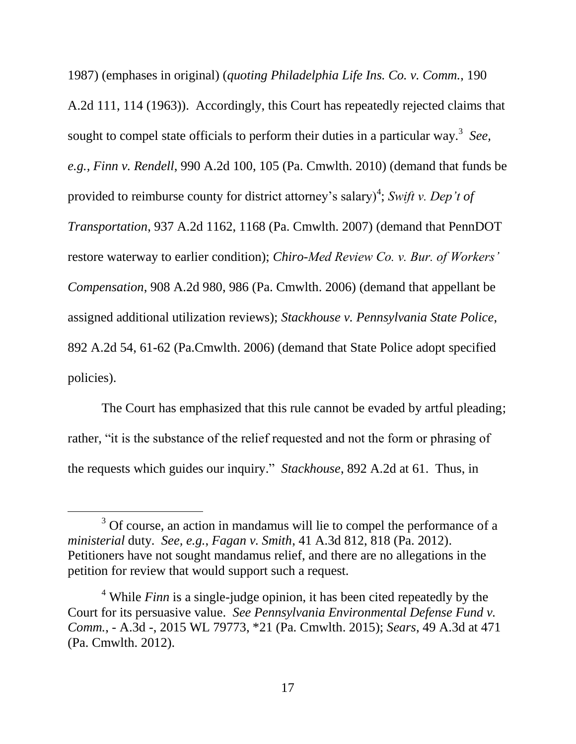1987) (emphases in original) (*quoting Philadelphia Life Ins. Co. v. Comm.*, 190 A.2d 111, 114 (1963)). Accordingly, this Court has repeatedly rejected claims that sought to compel state officials to perform their duties in a particular way.<sup>3</sup> *See, e.g., Finn v. Rendell*, 990 A.2d 100, 105 (Pa. Cmwlth. 2010) (demand that funds be provided to reimburse county for district attorney's salary)<sup>4</sup>; *Swift v. Dep't of Transportation*, 937 A.2d 1162, 1168 (Pa. Cmwlth. 2007) (demand that PennDOT restore waterway to earlier condition); *Chiro-Med Review Co. v. Bur. of Workers' Compensation*, 908 A.2d 980, 986 (Pa. Cmwlth. 2006) (demand that appellant be assigned additional utilization reviews); *Stackhouse v. Pennsylvania State Police*, 892 A.2d 54, 61-62 (Pa.Cmwlth. 2006) (demand that State Police adopt specified policies).

The Court has emphasized that this rule cannot be evaded by artful pleading; rather, "it is the substance of the relief requested and not the form or phrasing of the requests which guides our inquiry." *Stackhouse*, 892 A.2d at 61. Thus, in

 $\overline{a}$ 

 $3$  Of course, an action in mandamus will lie to compel the performance of a *ministerial* duty. *See, e.g.*, *Fagan v. Smith*, 41 A.3d 812, 818 (Pa. 2012). Petitioners have not sought mandamus relief, and there are no allegations in the petition for review that would support such a request.

<sup>&</sup>lt;sup>4</sup> While *Finn* is a single-judge opinion, it has been cited repeatedly by the Court for its persuasive value. *See Pennsylvania Environmental Defense Fund v. Comm.*, - A.3d -, 2015 WL 79773, \*21 (Pa. Cmwlth. 2015); *Sears*, 49 A.3d at 471 (Pa. Cmwlth. 2012).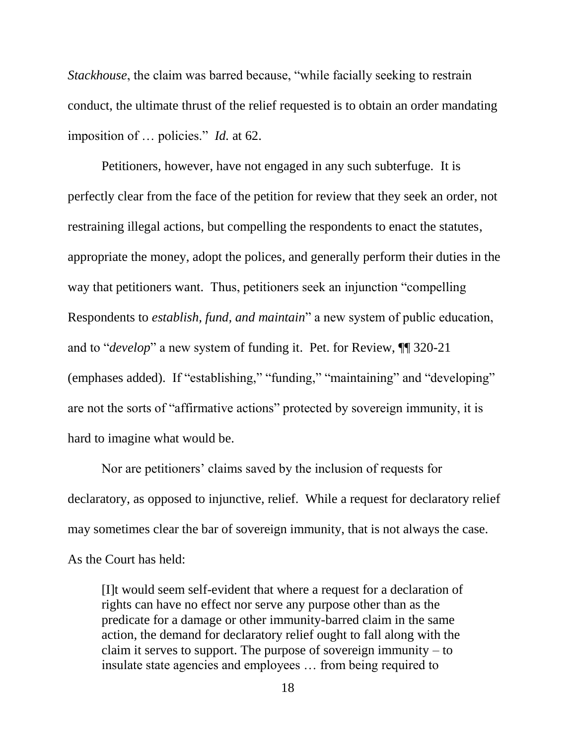*Stackhouse*, the claim was barred because, "while facially seeking to restrain conduct, the ultimate thrust of the relief requested is to obtain an order mandating imposition of … policies." *Id.* at 62.

Petitioners, however, have not engaged in any such subterfuge. It is perfectly clear from the face of the petition for review that they seek an order, not restraining illegal actions, but compelling the respondents to enact the statutes, appropriate the money, adopt the polices, and generally perform their duties in the way that petitioners want. Thus, petitioners seek an injunction "compelling Respondents to *establish, fund, and maintain*" a new system of public education, and to "*develop*" a new system of funding it. Pet. for Review, ¶¶ 320-21 (emphases added). If "establishing," "funding," "maintaining" and "developing" are not the sorts of "affirmative actions" protected by sovereign immunity, it is hard to imagine what would be.

Nor are petitioners' claims saved by the inclusion of requests for declaratory, as opposed to injunctive, relief. While a request for declaratory relief may sometimes clear the bar of sovereign immunity, that is not always the case. As the Court has held:

[I]t would seem self-evident that where a request for a declaration of rights can have no effect nor serve any purpose other than as the predicate for a damage or other immunity-barred claim in the same action, the demand for declaratory relief ought to fall along with the claim it serves to support. The purpose of sovereign immunity – to insulate state agencies and employees … from being required to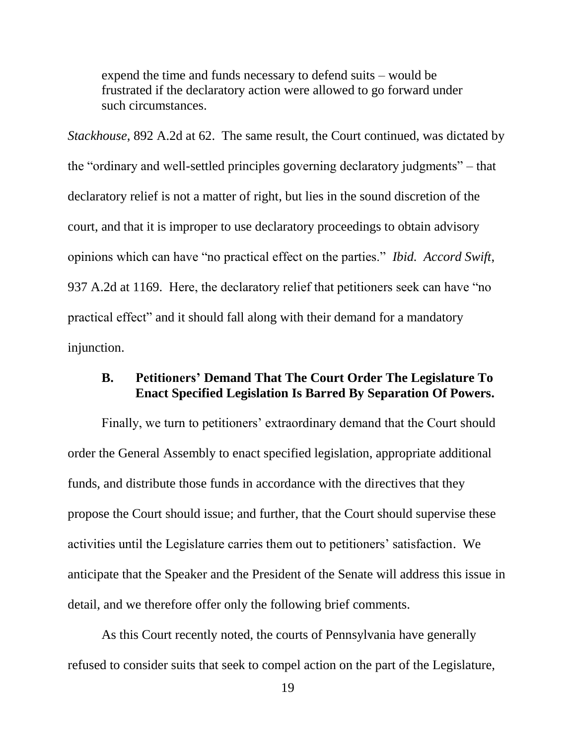expend the time and funds necessary to defend suits – would be frustrated if the declaratory action were allowed to go forward under such circumstances.

*Stackhouse*, 892 A.2d at 62. The same result, the Court continued, was dictated by the "ordinary and well-settled principles governing declaratory judgments" – that declaratory relief is not a matter of right, but lies in the sound discretion of the court, and that it is improper to use declaratory proceedings to obtain advisory opinions which can have "no practical effect on the parties." *Ibid. Accord Swift*, 937 A.2d at 1169. Here, the declaratory relief that petitioners seek can have "no practical effect" and it should fall along with their demand for a mandatory injunction.

## **B. Petitioners' Demand That The Court Order The Legislature To Enact Specified Legislation Is Barred By Separation Of Powers.**

Finally, we turn to petitioners' extraordinary demand that the Court should order the General Assembly to enact specified legislation, appropriate additional funds, and distribute those funds in accordance with the directives that they propose the Court should issue; and further, that the Court should supervise these activities until the Legislature carries them out to petitioners' satisfaction. We anticipate that the Speaker and the President of the Senate will address this issue in detail, and we therefore offer only the following brief comments.

As this Court recently noted, the courts of Pennsylvania have generally refused to consider suits that seek to compel action on the part of the Legislature,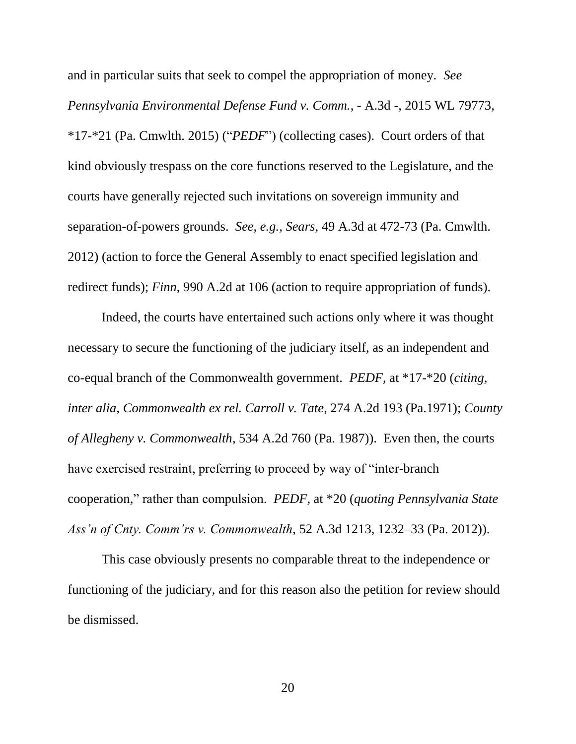and in particular suits that seek to compel the appropriation of money. *See Pennsylvania Environmental Defense Fund v. Comm.*, - A.3d -, 2015 WL 79773, \*17-\*21 (Pa. Cmwlth. 2015) ("*PEDF*") (collecting cases). Court orders of that kind obviously trespass on the core functions reserved to the Legislature, and the courts have generally rejected such invitations on sovereign immunity and separation-of-powers grounds. *See, e.g., Sears*, 49 A.3d at 472-73 (Pa. Cmwlth. 2012) (action to force the General Assembly to enact specified legislation and redirect funds); *Finn*, 990 A.2d at 106 (action to require appropriation of funds).

Indeed, the courts have entertained such actions only where it was thought necessary to secure the functioning of the judiciary itself, as an independent and co-equal branch of the Commonwealth government. *PEDF*, at \*17-\*20 (*citing, inter alia, Commonwealth ex rel. Carroll v. Tate*, 274 A.2d 193 (Pa.1971); *County of Allegheny v. Commonwealth*, 534 A.2d 760 (Pa. 1987)). Even then, the courts have exercised restraint, preferring to proceed by way of "inter-branch cooperation," rather than compulsion. *PEDF*, at \*20 (*quoting Pennsylvania State Ass'n of Cnty. Comm'rs v. Commonwealth*, 52 A.3d 1213, 1232–33 (Pa. 2012)).

This case obviously presents no comparable threat to the independence or functioning of the judiciary, and for this reason also the petition for review should be dismissed.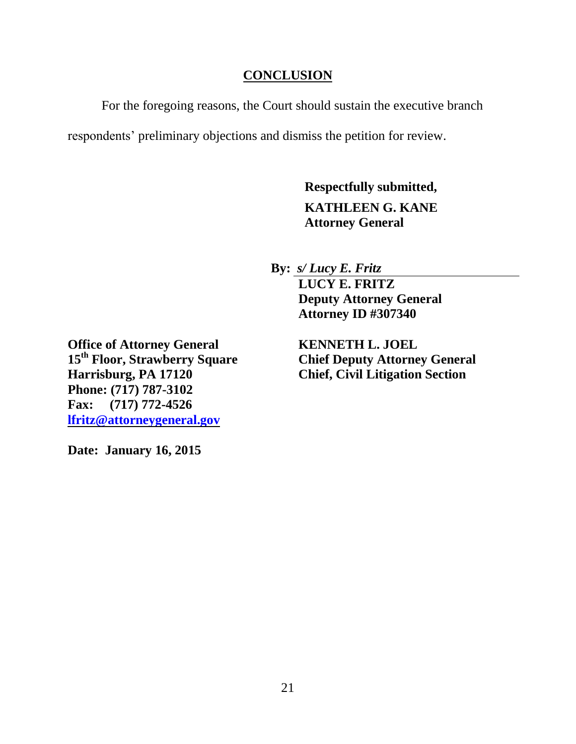## **CONCLUSION**

For the foregoing reasons, the Court should sustain the executive branch

respondents' preliminary objections and dismiss the petition for review.

**Respectfully submitted, KATHLEEN G. KANE Attorney General**

**By:** *s/ Lucy E. Fritz*

**LUCY E. FRITZ Deputy Attorney General Attorney ID #307340**

**15<sup>th</sup> Floor, Strawberry Square Chief Deputy Attorney General**<br> **Harrisburg, PA 17120 Chief, Civil Litigation Section Chief, Civil Litigation Section** 

**Office of Attorney General KENNETH L. JOEL Phone: (717) 787-3102 Fax: (717) 772-4526 lfritz@attorneygeneral.gov**

**Date: January 16, 2015**